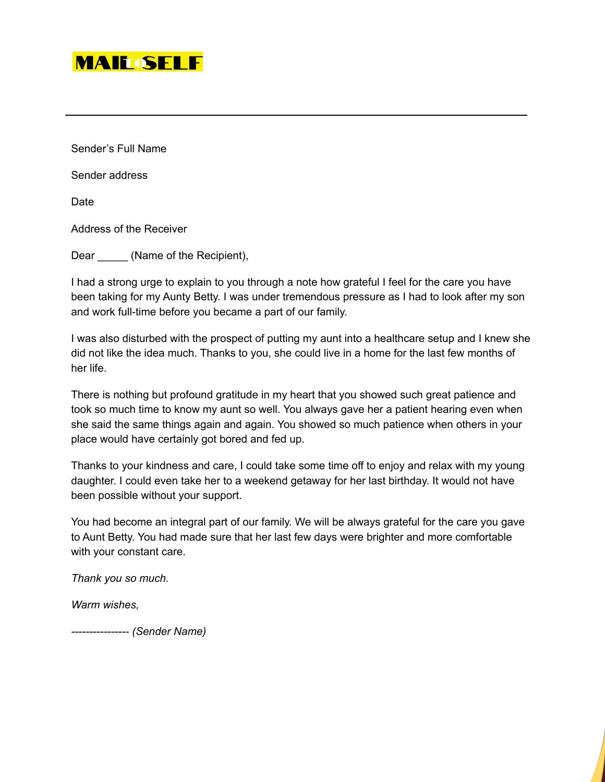

Sender's Full Name

Sender address

Date

Address of the Receiver

Dear (Name of the Recipient),

I had a strong urge to explain to you through a note how grateful I feel for the care you have been taking for my Aunty Betty. I was under tremendous pressure as I had to look after my son and work full-time before you became a part of our family.

I was also disturbed with the prospect of putting my aunt into a healthcare setup and I knew she did not like the idea much. Thanks to you, she could live in a home for the last few months of her life.

There is nothing but profound gratitude in my heart that you showed such great patience and took so much time to know my aunt so well. You always gave her a patient hearing even when she said the same things again and again. You showed so much patience when others in your place would have certainly got bored and fed up.

Thanks to your kindness and care, I could take some time off to enjoy and relax with my young daughter. I could even take her to a weekend getaway for her last birthday. It would not have been possible without your support.

You had become an integral part of our family. We will be always grateful for the care you gave to Aunt Betty. You had made sure that her last few days were brighter and more comfortable with your constant care.

*Thank you so much.*

*Warm wishes,*

*---------------- (Sender Name)*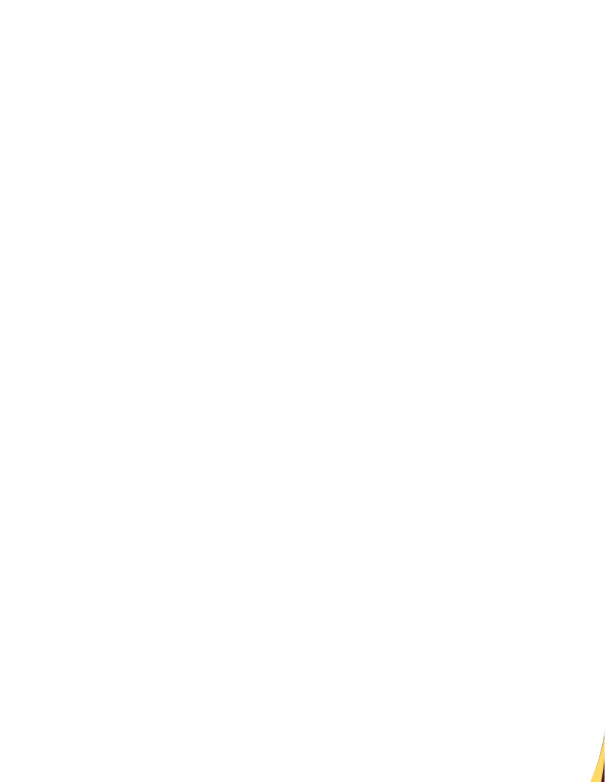